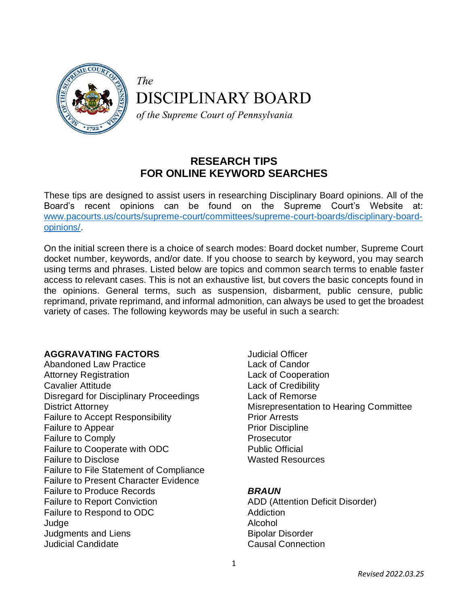

The

**DISCIPLINARY BOARD** 

of the Supreme Court of Pennsylvania

### **RESEARCH TIPS FOR ONLINE KEYWORD SEARCHES**

These tips are designed to assist users in researching Disciplinary Board opinions. All of the Board's recent opinions can be found on the Supreme Court's Website at: [www.pacourts.us/courts/supreme-court/committees/supreme-court-boards/disciplinary-board](www.pacourts.us/courts/supreme-court/committees/supreme-court-boards/disciplinary-board-opinions/)[opinions/.](www.pacourts.us/courts/supreme-court/committees/supreme-court-boards/disciplinary-board-opinions/)

On the initial screen there is a choice of search modes: Board docket number, Supreme Court docket number, keywords, and/or date. If you choose to search by keyword, you may search using terms and phrases. Listed below are topics and common search terms to enable faster access to relevant cases. This is not an exhaustive list, but covers the basic concepts found in the opinions. General terms, such as suspension, disbarment, public censure, public reprimand, private reprimand, and informal admonition, can always be used to get the broadest variety of cases. The following keywords may be useful in such a search:

#### **AGGRAVATING FACTORS**

Abandoned Law Practice Attorney Registration Cavalier Attitude Disregard for Disciplinary Proceedings District Attorney Failure to Accept Responsibility Failure to Appear Failure to Comply Failure to Cooperate with ODC Failure to Disclose Failure to File Statement of Compliance Failure to Present Character Evidence Failure to Produce Records Failure to Report Conviction Failure to Respond to ODC Judge Judgments and Liens Judicial Candidate

Judicial Officer Lack of Candor Lack of Cooperation Lack of Credibility Lack of Remorse Misrepresentation to Hearing Committee Prior Arrests Prior Discipline **Prosecutor** Public Official Wasted Resources

#### *BRAUN*

ADD (Attention Deficit Disorder) **Addiction** Alcohol Bipolar Disorder Causal Connection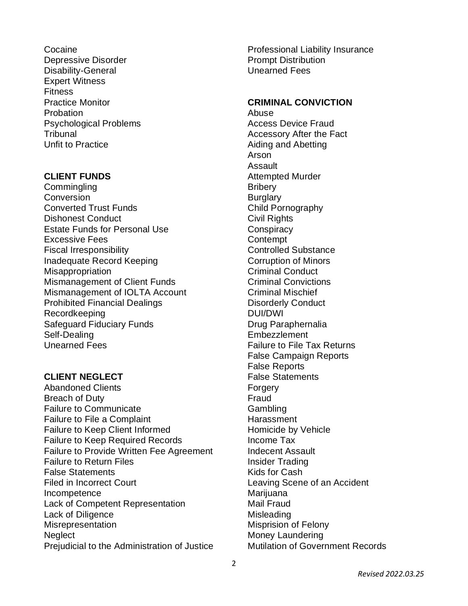**Cocaine** Depressive Disorder Disability-General Expert Witness **Fitness** Practice Monitor Probation Psychological Problems **Tribunal** Unfit to Practice

#### **CLIENT FUNDS**

**Commingling Conversion** Converted Trust Funds Dishonest Conduct Estate Funds for Personal Use Excessive Fees Fiscal Irresponsibility Inadequate Record Keeping **Misappropriation** Mismanagement of Client Funds Mismanagement of IOLTA Account Prohibited Financial Dealings Recordkeeping Safeguard Fiduciary Funds Self-Dealing Unearned Fees

## **CLIENT NEGLECT**

Abandoned Clients Breach of Duty Failure to Communicate Failure to File a Complaint Failure to Keep Client Informed Failure to Keep Required Records Failure to Provide Written Fee Agreement Failure to Return Files False Statements Filed in Incorrect Court Incompetence Lack of Competent Representation Lack of Diligence **Misrepresentation Neglect** Prejudicial to the Administration of Justice Professional Liability Insurance Prompt Distribution Unearned Fees

#### **CRIMINAL CONVICTION**

Abuse Access Device Fraud Accessory After the Fact Aiding and Abetting Arson Assault Attempted Murder **Bribery Burglary** Child Pornography Civil Rights **Conspiracy Contempt** Controlled Substance Corruption of Minors Criminal Conduct Criminal Convictions Criminal Mischief Disorderly Conduct DUI/DWI Drug Paraphernalia **Embezzlement** Failure to File Tax Returns False Campaign Reports False Reports False Statements **Forgery** Fraud Gambling **Harassment** Homicide by Vehicle Income Tax Indecent Assault Insider Trading Kids for Cash Leaving Scene of an Accident Marijuana Mail Fraud **Misleading** Misprision of Felony Money Laundering Mutilation of Government Records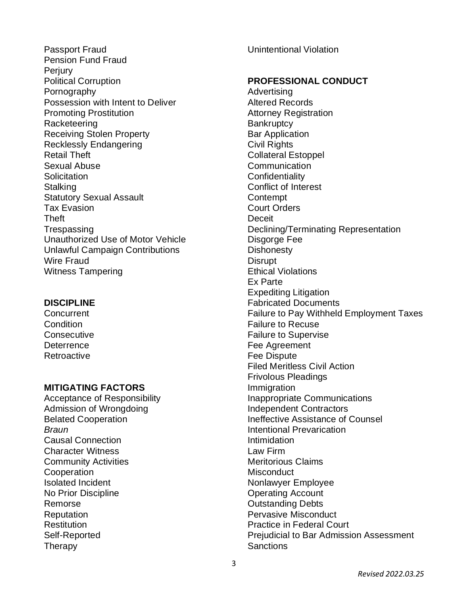Passport Fraud Pension Fund Fraud **Perjury** Political Corruption Pornography Possession with Intent to Deliver Promoting Prostitution **Racketeering** Receiving Stolen Property Recklessly Endangering Retail Theft Sexual Abuse **Solicitation Stalking** Statutory Sexual Assault Tax Evasion Theft **Trespassing** Unauthorized Use of Motor Vehicle Unlawful Campaign Contributions Wire Fraud Witness Tampering

#### **DISCIPLINE**

**Concurrent Condition Consecutive Deterrence Retroactive** 

#### **MITIGATING FACTORS**

Acceptance of Responsibility Admission of Wrongdoing Belated Cooperation *Braun* Causal Connection Character Witness Community Activities **Cooperation** Isolated Incident No Prior Discipline Remorse **Reputation Restitution** Self-Reported Therapy

Unintentional Violation

#### **PROFESSIONAL CONDUCT**

Advertising Altered Records Attorney Registration **Bankruptcy** Bar Application Civil Rights Collateral Estoppel Communication **Confidentiality** Conflict of Interest **Contempt** Court Orders **Deceit** Declining/Terminating Representation Disgorge Fee **Dishonesty Disrupt** Ethical Violations Ex Parte Expediting Litigation Fabricated Documents Failure to Pay Withheld Employment Taxes Failure to Recuse Failure to Supervise Fee Agreement Fee Dispute Filed Meritless Civil Action Frivolous Pleadings Immigration Inappropriate Communications Independent Contractors Ineffective Assistance of Counsel Intentional Prevarication Intimidation Law Firm Meritorious Claims **Misconduct** Nonlawyer Employee Operating Account Outstanding Debts Pervasive Misconduct Practice in Federal Court Prejudicial to Bar Admission Assessment **Sanctions**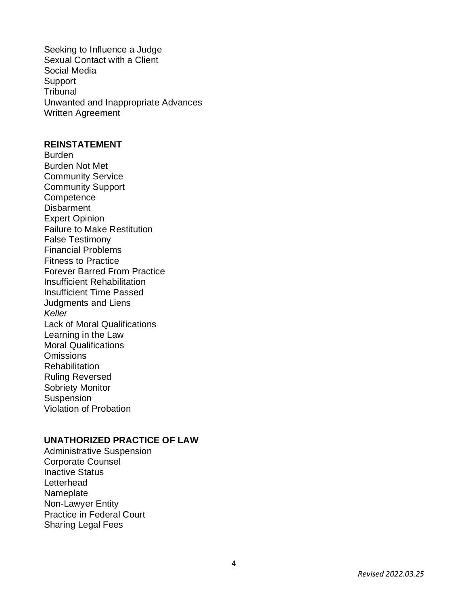Seeking to Influence a Judge Sexual Contact with a Client Social Media Support **Tribunal** Unwanted and Inappropriate Advances Written Agreement

#### **REINSTATEMENT**

Burden Burden Not Met Community Service Community Support **Competence Disbarment** Expert Opinion Failure to Make Restitution False Testimony Financial Problems Fitness to Practice Forever Barred From Practice Insufficient Rehabilitation Insufficient Time Passed Judgments and Liens *Keller* Lack of Moral Qualifications Learning in the Law Moral Qualifications **Omissions Rehabilitation** Ruling Reversed Sobriety Monitor **Suspension** Violation of Probation

#### **UNATHORIZED PRACTICE OF LAW**

Administrative Suspension Corporate Counsel Inactive Status **Letterhead** Nameplate Non -Lawyer Entity Practice in Federal Court Sharing Legal Fees